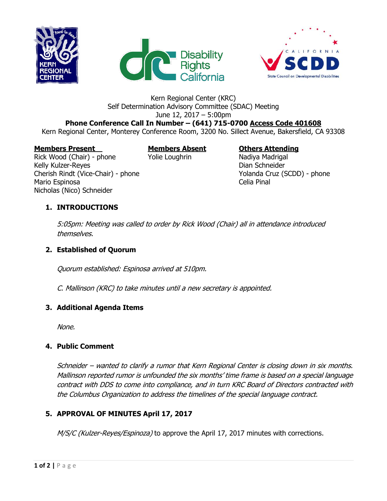





# Kern Regional Center (KRC) Self Determination Advisory Committee (SDAC) Meeting June 12, 2017 – 5:00pm

**Phone Conference Call In Number – (641) 715-0700 Access Code 401608** Kern Regional Center, Monterey Conference Room, 3200 No. Sillect Avenue, Bakersfield, CA 93308

#### **Members Present Members Absent Others Attending**

Rick Wood (Chair) - phone Yolie Loughrin Nadiya Madrigal Kelly Kulzer-Reyes **Dian Schneider** Cherish Rindt (Vice-Chair) - phone Yolanda Cruz (SCDD) - phone Mario Espinosa **Celia Pinal** Nicholas (Nico) Schneider

## **1. INTRODUCTIONS**

5:05pm: Meeting was called to order by Rick Wood (Chair) all in attendance introduced themselves.

#### **2. Established of Quorum**

Quorum established: Espinosa arrived at 510pm.

C. Mallinson (KRC) to take minutes until a new secretary is appointed.

#### **3. Additional Agenda Items**

None.

#### **4. Public Comment**

Schneider – wanted to clarify a rumor that Kern Regional Center is closing down in six months. Mallinson reported rumor is unfounded the six months' time frame is based on a special language contract with DDS to come into compliance, and in turn KRC Board of Directors contracted with the Columbus Organization to address the timelines of the special language contract.

#### **5. APPROVAL OF MINUTES April 17, 2017**

M/S/C (Kulzer-Reyes/Espinoza) to approve the April 17, 2017 minutes with corrections.